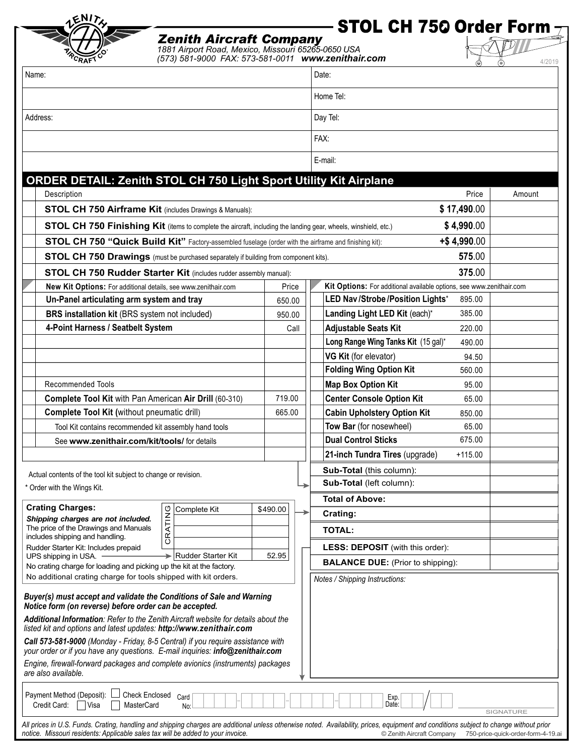| 1ENIT                                                                                                                                                                                            | STOL CH 750 Order Form $\tau$                                                                                                                                                                                                                                                                                                                                                                                    |          |  |                                                                        |           |
|--------------------------------------------------------------------------------------------------------------------------------------------------------------------------------------------------|------------------------------------------------------------------------------------------------------------------------------------------------------------------------------------------------------------------------------------------------------------------------------------------------------------------------------------------------------------------------------------------------------------------|----------|--|------------------------------------------------------------------------|-----------|
|                                                                                                                                                                                                  | <b>Zenith Aircraft Company</b><br>1881 Airport Road, Mexico, Missouri 65265-0650 USA<br>(573) 581-9000 FAX: 573-581-0011 www.zenithair.com                                                                                                                                                                                                                                                                       |          |  |                                                                        | 4/2019    |
| Name:                                                                                                                                                                                            |                                                                                                                                                                                                                                                                                                                                                                                                                  |          |  | Date:                                                                  |           |
|                                                                                                                                                                                                  |                                                                                                                                                                                                                                                                                                                                                                                                                  |          |  | Home Tel:                                                              |           |
| Address:                                                                                                                                                                                         |                                                                                                                                                                                                                                                                                                                                                                                                                  |          |  | Day Tel:                                                               |           |
|                                                                                                                                                                                                  |                                                                                                                                                                                                                                                                                                                                                                                                                  |          |  | FAX:                                                                   |           |
|                                                                                                                                                                                                  |                                                                                                                                                                                                                                                                                                                                                                                                                  |          |  | E-mail:                                                                |           |
|                                                                                                                                                                                                  |                                                                                                                                                                                                                                                                                                                                                                                                                  |          |  |                                                                        |           |
|                                                                                                                                                                                                  | <b>ORDER DETAIL: Zenith STOL CH 750 Light Sport Utility Kit Airplane</b>                                                                                                                                                                                                                                                                                                                                         |          |  |                                                                        |           |
| Description                                                                                                                                                                                      |                                                                                                                                                                                                                                                                                                                                                                                                                  |          |  | Price                                                                  | Amount    |
|                                                                                                                                                                                                  | STOL CH 750 Airframe Kit (includes Drawings & Manuals):                                                                                                                                                                                                                                                                                                                                                          |          |  | \$17,490.00                                                            |           |
|                                                                                                                                                                                                  | STOL CH 750 Finishing Kit (items to complete the aircraft, including the landing gear, wheels, winshield, etc.)                                                                                                                                                                                                                                                                                                  |          |  | \$4,990.00                                                             |           |
|                                                                                                                                                                                                  | STOL CH 750 "Quick Build Kit" Factory-assembled fuselage (order with the airframe and finishing kit):                                                                                                                                                                                                                                                                                                            |          |  | +\$4,990.00                                                            |           |
| 575.00<br>STOL CH 750 Drawings (must be purchased separately if building from component kits).                                                                                                   |                                                                                                                                                                                                                                                                                                                                                                                                                  |          |  |                                                                        |           |
| 375.00<br>STOL CH 750 Rudder Starter Kit (includes rudder assembly manual):                                                                                                                      |                                                                                                                                                                                                                                                                                                                                                                                                                  |          |  |                                                                        |           |
| New Kit Options: For additional details, see www.zenithair.com                                                                                                                                   |                                                                                                                                                                                                                                                                                                                                                                                                                  | Price    |  | Kit Options: For additional available options, see www.zenithair.com   |           |
| Un-Panel articulating arm system and tray                                                                                                                                                        |                                                                                                                                                                                                                                                                                                                                                                                                                  | 650.00   |  | LED Nav/Strobe/Position Lights*<br>895.00                              |           |
| BRS installation kit (BRS system not included)                                                                                                                                                   |                                                                                                                                                                                                                                                                                                                                                                                                                  | 950.00   |  | Landing Light LED Kit (each)*<br>385.00                                |           |
| 4-Point Harness / Seatbelt System                                                                                                                                                                |                                                                                                                                                                                                                                                                                                                                                                                                                  | Call     |  | <b>Adjustable Seats Kit</b><br>220.00                                  |           |
|                                                                                                                                                                                                  |                                                                                                                                                                                                                                                                                                                                                                                                                  |          |  | Long Range Wing Tanks Kit (15 gal)*<br>490.00                          |           |
|                                                                                                                                                                                                  |                                                                                                                                                                                                                                                                                                                                                                                                                  |          |  | VG Kit (for elevator)<br>94.50                                         |           |
|                                                                                                                                                                                                  |                                                                                                                                                                                                                                                                                                                                                                                                                  |          |  | <b>Folding Wing Option Kit</b><br>560.00                               |           |
| Recommended Tools                                                                                                                                                                                |                                                                                                                                                                                                                                                                                                                                                                                                                  | 719.00   |  | <b>Map Box Option Kit</b><br>95.00<br><b>Center Console Option Kit</b> |           |
| Complete Tool Kit with Pan American Air Drill (60-310)<br>Complete Tool Kit (without pneumatic drill)                                                                                            |                                                                                                                                                                                                                                                                                                                                                                                                                  | 665.00   |  | 65.00<br><b>Cabin Upholstery Option Kit</b>                            |           |
| Tool Kit contains recommended kit assembly hand tools                                                                                                                                            |                                                                                                                                                                                                                                                                                                                                                                                                                  |          |  | 850.00<br>Tow Bar (for nosewheel)<br>65.00                             |           |
| See www.zenithair.com/kit/tools/ for details                                                                                                                                                     |                                                                                                                                                                                                                                                                                                                                                                                                                  |          |  | <b>Dual Control Sticks</b><br>675.00                                   |           |
|                                                                                                                                                                                                  |                                                                                                                                                                                                                                                                                                                                                                                                                  |          |  | 21-inch Tundra Tires (upgrade)<br>$+115.00$                            |           |
|                                                                                                                                                                                                  |                                                                                                                                                                                                                                                                                                                                                                                                                  |          |  | Sub-Total (this column):                                               |           |
| Actual contents of the tool kit subject to change or revision.                                                                                                                                   |                                                                                                                                                                                                                                                                                                                                                                                                                  |          |  | Sub-Total (left column):                                               |           |
| * Order with the Wings Kit.                                                                                                                                                                      |                                                                                                                                                                                                                                                                                                                                                                                                                  |          |  | <b>Total of Above:</b>                                                 |           |
| <b>Crating Charges:</b>                                                                                                                                                                          | Complete Kit                                                                                                                                                                                                                                                                                                                                                                                                     | \$490.00 |  | Crating:                                                               |           |
| Shipping charges are not included.<br>The price of the Drawings and Manuals                                                                                                                      |                                                                                                                                                                                                                                                                                                                                                                                                                  |          |  |                                                                        |           |
| includes shipping and handling.                                                                                                                                                                  | CRATING                                                                                                                                                                                                                                                                                                                                                                                                          |          |  | <b>TOTAL:</b>                                                          |           |
| Rudder Starter Kit: Includes prepaid<br>UPS shipping in USA.                                                                                                                                     | Rudder Starter Kit<br>▸                                                                                                                                                                                                                                                                                                                                                                                          | 52.95    |  | LESS: DEPOSIT (with this order):                                       |           |
| No crating charge for loading and picking up the kit at the factory.                                                                                                                             |                                                                                                                                                                                                                                                                                                                                                                                                                  |          |  | <b>BALANCE DUE:</b> (Prior to shipping):                               |           |
| No additional crating charge for tools shipped with kit orders.<br>Notice form (on reverse) before order can be accepted.<br>listed kit and options and latest updates: http://www.zenithair.com | Buyer(s) must accept and validate the Conditions of Sale and Warning<br>Additional Information: Refer to the Zenith Aircraft website for details about the<br>Call 573-581-9000 (Monday - Friday, 8-5 Central) if you require assistance with<br>your order or if you have any questions. E-mail inquiries: info@zenithair.com<br>Engine, firewall-forward packages and complete avionics (instruments) packages |          |  | Notes / Shipping Instructions:                                         |           |
| are also available.<br>Payment Method (Deposit):<br>Credit Card:<br>Visa<br><b>MasterCard</b>                                                                                                    | <b>Check Enclosed</b><br>Card<br>No:                                                                                                                                                                                                                                                                                                                                                                             |          |  | Exp.<br>Date:                                                          | SIGNATURE |

*All prices in U.S. Funds. Crating, handling and shipping charges are additional unless otherwise noted. Availability, prices, equipment and conditions subject to change without prior notice. Missouri residents: Applicable sales tax will be added to your invoice.* © Zenith Aircraft Company 750-price-quick-order-form-4-19.ai